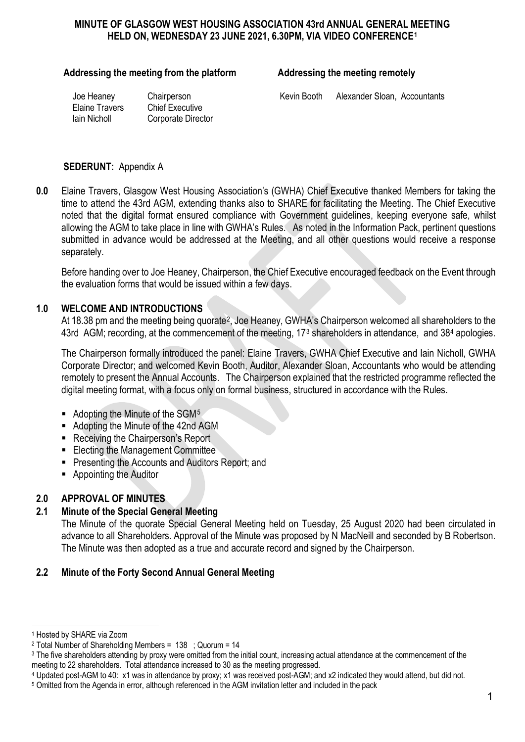### **MINUTE OF GLASGOW WEST HOUSING ASSOCIATION 43rd ANNUAL GENERAL MEETING HELD ON, WEDNESDAY 23 JUNE 2021, 6.30PM, VIA VIDEO CONFERENCE[1](#page-0-0)**

#### Addressing the meeting from the platform **Addressing the meeting remotely**

Elaine Travers Chief Executive

Iain Nicholl Corporate Director

Joe Heaney Chairperson Chairperson Kevin Booth Alexander Sloan, Accountants

#### **SEDERUNT:** Appendix A

**0.0** Elaine Travers, Glasgow West Housing Association's (GWHA) Chief Executive thanked Members for taking the time to attend the 43rd AGM, extending thanks also to SHARE for facilitating the Meeting. The Chief Executive noted that the digital format ensured compliance with Government guidelines, keeping everyone safe, whilst allowing the AGM to take place in line with GWHA's Rules. As noted in the Information Pack, pertinent questions submitted in advance would be addressed at the Meeting, and all other questions would receive a response separately.

Before handing over to Joe Heaney, Chairperson, the Chief Executive encouraged feedback on the Event through the evaluation forms that would be issued within a few days.

#### **1.0 WELCOME AND INTRODUCTIONS**

At 18.38 pm and the meeting being quorate<sup>2</sup>, Joe Heaney, GWHA's Chairperson welcomed all shareholders to the 4[3](#page-0-2)rd AGM; recording, at the commencement of the meeting, 17<sup>3</sup> shareholders in attendance, and 38<sup>[4](#page-0-3)</sup> apologies.

The Chairperson formally introduced the panel: Elaine Travers, GWHA Chief Executive and Iain Nicholl, GWHA Corporate Director; and welcomed Kevin Booth, Auditor, Alexander Sloan, Accountants who would be attending remotely to present the Annual Accounts. The Chairperson explained that the restricted programme reflected the digital meeting format, with a focus only on formal business, structured in accordance with the Rules.

- $\blacksquare$  Adopting the Minute of the SGM<sup>[5](#page-0-4)</sup>
- Adopting the Minute of the 42nd AGM
- Receiving the Chairperson's Report
- **Electing the Management Committee**
- **Presenting the Accounts and Auditors Report; and**
- Appointing the Auditor

#### **2.0 APPROVAL OF MINUTES**

#### **2.1 Minute of the Special General Meeting**

The Minute of the quorate Special General Meeting held on Tuesday, 25 August 2020 had been circulated in advance to all Shareholders. Approval of the Minute was proposed by N MacNeill and seconded by B Robertson. The Minute was then adopted as a true and accurate record and signed by the Chairperson.

#### **2.2 Minute of the Forty Second Annual General Meeting**

<sup>-</sup><sup>1</sup> Hosted by SHARE via Zoom

<span id="page-0-1"></span><span id="page-0-0"></span><sup>&</sup>lt;sup>2</sup> Total Number of Shareholding Members =  $138$ ; Quorum =  $14$ 

<span id="page-0-2"></span><sup>&</sup>lt;sup>3</sup> The five shareholders attending by proxy were omitted from the initial count, increasing actual attendance at the commencement of the meeting to 22 shareholders. Total attendance increased to 30 as the meeting progressed.

<span id="page-0-3"></span><sup>4</sup> Updated post-AGM to 40: x1 was in attendance by proxy; x1 was received post-AGM; and x2 indicated they would attend, but did not.

<span id="page-0-4"></span><sup>5</sup> Omitted from the Agenda in error, although referenced in the AGM invitation letter and included in the pack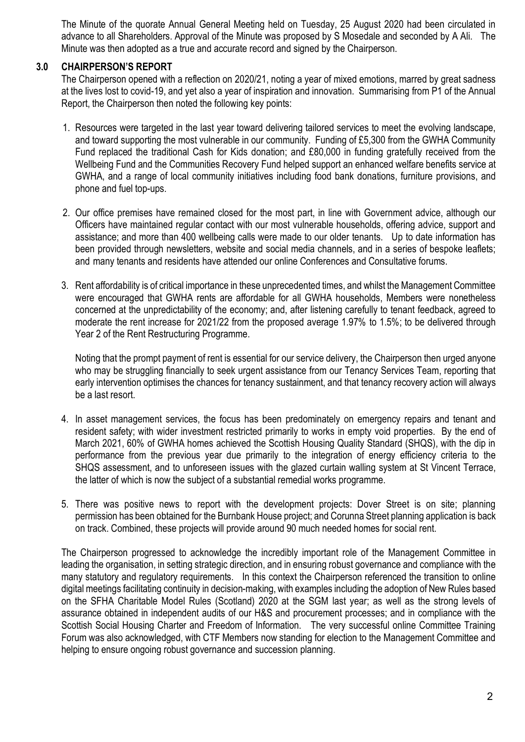The Minute of the quorate Annual General Meeting held on Tuesday, 25 August 2020 had been circulated in advance to all Shareholders. Approval of the Minute was proposed by S Mosedale and seconded by A Ali. The Minute was then adopted as a true and accurate record and signed by the Chairperson.

### **3.0 CHAIRPERSON'S REPORT**

The Chairperson opened with a reflection on 2020/21, noting a year of mixed emotions, marred by great sadness at the lives lost to covid-19, and yet also a year of inspiration and innovation. Summarising from P1 of the Annual Report, the Chairperson then noted the following key points:

- 1. Resources were targeted in the last year toward delivering tailored services to meet the evolving landscape, and toward supporting the most vulnerable in our community. Funding of £5,300 from the GWHA Community Fund replaced the traditional Cash for Kids donation; and £80,000 in funding gratefully received from the Wellbeing Fund and the Communities Recovery Fund helped support an enhanced welfare benefits service at GWHA, and a range of local community initiatives including food bank donations, furniture provisions, and phone and fuel top-ups.
- 2. Our office premises have remained closed for the most part, in line with Government advice, although our Officers have maintained regular contact with our most vulnerable households, offering advice, support and assistance; and more than 400 wellbeing calls were made to our older tenants. Up to date information has been provided through newsletters, website and social media channels, and in a series of bespoke leaflets; and many tenants and residents have attended our online Conferences and Consultative forums.
- 3. Rent affordability is of critical importance in these unprecedented times, and whilst the Management Committee were encouraged that GWHA rents are affordable for all GWHA households, Members were nonetheless concerned at the unpredictability of the economy; and, after listening carefully to tenant feedback, agreed to moderate the rent increase for 2021/22 from the proposed average 1.97% to 1.5%; to be delivered through Year 2 of the Rent Restructuring Programme.

Noting that the prompt payment of rent is essential for our service delivery, the Chairperson then urged anyone who may be struggling financially to seek urgent assistance from our Tenancy Services Team, reporting that early intervention optimises the chances for tenancy sustainment, and that tenancy recovery action will always be a last resort.

- 4. In asset management services, the focus has been predominately on emergency repairs and tenant and resident safety; with wider investment restricted primarily to works in empty void properties. By the end of March 2021, 60% of GWHA homes achieved the Scottish Housing Quality Standard (SHQS), with the dip in performance from the previous year due primarily to the integration of energy efficiency criteria to the SHQS assessment, and to unforeseen issues with the glazed curtain walling system at St Vincent Terrace, the latter of which is now the subject of a substantial remedial works programme.
- 5. There was positive news to report with the development projects: Dover Street is on site; planning permission has been obtained for the Burnbank House project; and Corunna Street planning application is back on track. Combined, these projects will provide around 90 much needed homes for social rent.

The Chairperson progressed to acknowledge the incredibly important role of the Management Committee in leading the organisation, in setting strategic direction, and in ensuring robust governance and compliance with the many statutory and regulatory requirements. In this context the Chairperson referenced the transition to online digital meetings facilitating continuity in decision-making, with examples including the adoption of New Rules based on the SFHA Charitable Model Rules (Scotland) 2020 at the SGM last year; as well as the strong levels of assurance obtained in independent audits of our H&S and procurement processes; and in compliance with the Scottish Social Housing Charter and Freedom of Information. The very successful online Committee Training Forum was also acknowledged, with CTF Members now standing for election to the Management Committee and helping to ensure ongoing robust governance and succession planning.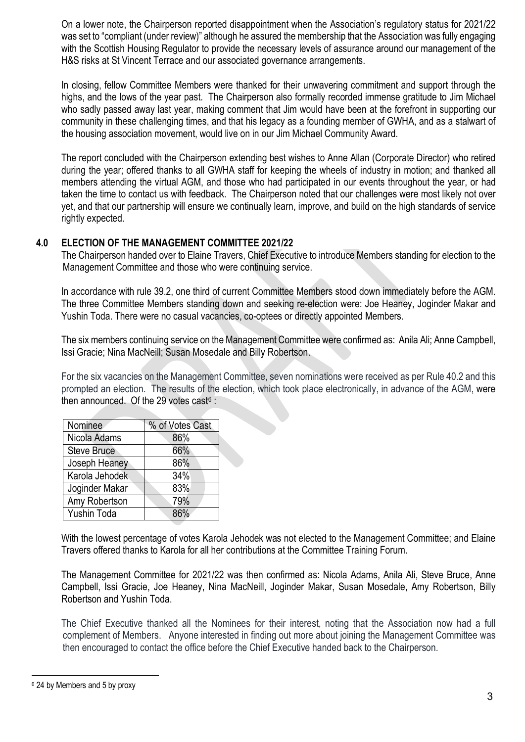On a lower note, the Chairperson reported disappointment when the Association's regulatory status for 2021/22 was set to "compliant (under review)" although he assured the membership that the Association was fully engaging with the Scottish Housing Regulator to provide the necessary levels of assurance around our management of the H&S risks at St Vincent Terrace and our associated governance arrangements.

In closing, fellow Committee Members were thanked for their unwavering commitment and support through the highs, and the lows of the year past. The Chairperson also formally recorded immense gratitude to Jim Michael who sadly passed away last year, making comment that Jim would have been at the forefront in supporting our community in these challenging times, and that his legacy as a founding member of GWHA, and as a stalwart of the housing association movement, would live on in our Jim Michael Community Award.

The report concluded with the Chairperson extending best wishes to Anne Allan (Corporate Director) who retired during the year; offered thanks to all GWHA staff for keeping the wheels of industry in motion; and thanked all members attending the virtual AGM, and those who had participated in our events throughout the year, or had taken the time to contact us with feedback. The Chairperson noted that our challenges were most likely not over yet, and that our partnership will ensure we continually learn, improve, and build on the high standards of service rightly expected.

#### **4.0 ELECTION OF THE MANAGEMENT COMMITTEE 2021/22**

The Chairperson handed over to Elaine Travers, Chief Executive to introduce Members standing for election to the Management Committee and those who were continuing service.

In accordance with rule 39.2, one third of current Committee Members stood down immediately before the AGM. The three Committee Members standing down and seeking re-election were: Joe Heaney, Joginder Makar and Yushin Toda. There were no casual vacancies, co-optees or directly appointed Members.

The six members continuing service on the Management Committee were confirmed as: Anila Ali; Anne Campbell, Issi Gracie; Nina MacNeill; Susan Mosedale and Billy Robertson.

For the six vacancies on the Management Committee, seven nominations were received as per Rule 40.2 and this prompted an election. The results of the election, which took place electronically, in advance of the AGM, were then announced. Of the 29 votes cast $6:$ 

| Nominee            | % of Votes Cast |
|--------------------|-----------------|
| Nicola Adams       | 86%             |
| <b>Steve Bruce</b> | 66%             |
| Joseph Heaney      | 86%             |
| Karola Jehodek     | 34%             |
| Joginder Makar     | 83%             |
| Amy Robertson      | 79%             |
| <b>Yushin Toda</b> | ጸፍ%             |

With the lowest percentage of votes Karola Jehodek was not elected to the Management Committee; and Elaine Travers offered thanks to Karola for all her contributions at the Committee Training Forum.

The Management Committee for 2021/22 was then confirmed as: Nicola Adams, Anila Ali, Steve Bruce, Anne Campbell, Issi Gracie, Joe Heaney, Nina MacNeill, Joginder Makar, Susan Mosedale, Amy Robertson, Billy Robertson and Yushin Toda.

The Chief Executive thanked all the Nominees for their interest, noting that the Association now had a full complement of Members. Anyone interested in finding out more about joining the Management Committee was then encouraged to contact the office before the Chief Executive handed back to the Chairperson.

-

<span id="page-2-0"></span><sup>6</sup> 24 by Members and 5 by proxy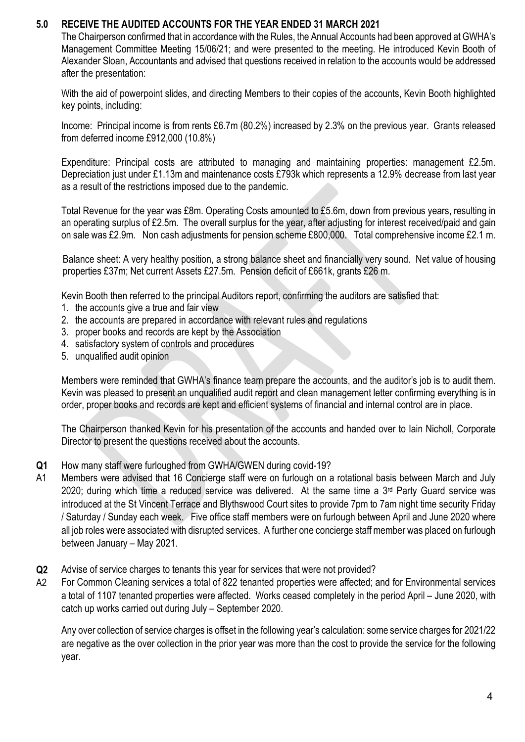## **5.0 RECEIVE THE AUDITED ACCOUNTS FOR THE YEAR ENDED 31 MARCH 2021**

The Chairperson confirmed that in accordance with the Rules, the Annual Accounts had been approved at GWHA's Management Committee Meeting 15/06/21; and were presented to the meeting. He introduced Kevin Booth of Alexander Sloan, Accountants and advised that questions received in relation to the accounts would be addressed after the presentation:

With the aid of powerpoint slides, and directing Members to their copies of the accounts, Kevin Booth highlighted key points, including:

Income: Principal income is from rents £6.7m (80.2%) increased by 2.3% on the previous year. Grants released from deferred income £912,000 (10.8%)

Expenditure: Principal costs are attributed to managing and maintaining properties: management £2.5m. Depreciation just under £1.13m and maintenance costs £793k which represents a 12.9% decrease from last year as a result of the restrictions imposed due to the pandemic.

Total Revenue for the year was £8m. Operating Costs amounted to £5.6m, down from previous years, resulting in an operating surplus of £2.5m. The overall surplus for the year, after adjusting for interest received/paid and gain on sale was £2.9m. Non cash adjustments for pension scheme £800,000. Total comprehensive income £2.1 m.

Balance sheet: A very healthy position, a strong balance sheet and financially very sound. Net value of housing properties £37m; Net current Assets £27.5m. Pension deficit of £661k, grants £26 m.

Kevin Booth then referred to the principal Auditors report, confirming the auditors are satisfied that:

- 1. the accounts give a true and fair view
- 2. the accounts are prepared in accordance with relevant rules and regulations
- 3. proper books and records are kept by the Association
- 4. satisfactory system of controls and procedures
- 5. unqualified audit opinion

Members were reminded that GWHA's finance team prepare the accounts, and the auditor's job is to audit them. Kevin was pleased to present an unqualified audit report and clean management letter confirming everything is in order, proper books and records are kept and efficient systems of financial and internal control are in place.

The Chairperson thanked Kevin for his presentation of the accounts and handed over to Iain Nicholl, Corporate Director to present the questions received about the accounts.

- **Q1** How many staff were furloughed from GWHA/GWEN during covid-19?
- A1 Members were advised that 16 Concierge staff were on furlough on a rotational basis between March and July 2020; during which time a reduced service was delivered. At the same time a 3<sup>rd</sup> Party Guard service was introduced at the St Vincent Terrace and Blythswood Court sites to provide 7pm to 7am night time security Friday / Saturday / Sunday each week. Five office staff members were on furlough between April and June 2020 where all job roles were associated with disrupted services. A further one concierge staff member was placed on furlough between January – May 2021.
- **Q2** Advise of service charges to tenants this year for services that were not provided?
- A2 For Common Cleaning services a total of 822 tenanted properties were affected; and for Environmental services a total of 1107 tenanted properties were affected. Works ceased completely in the period April – June 2020, with catch up works carried out during July – September 2020.

Any over collection of service charges is offset in the following year's calculation: some service charges for 2021/22 are negative as the over collection in the prior year was more than the cost to provide the service for the following year.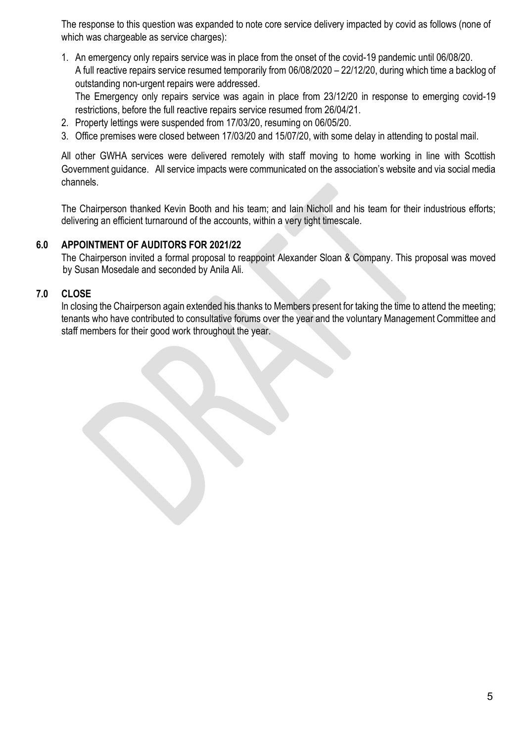The response to this question was expanded to note core service delivery impacted by covid as follows (none of which was chargeable as service charges):

1. An emergency only repairs service was in place from the onset of the covid-19 pandemic until 06/08/20. A full reactive repairs service resumed temporarily from 06/08/2020 – 22/12/20, during which time a backlog of outstanding non-urgent repairs were addressed.

The Emergency only repairs service was again in place from 23/12/20 in response to emerging covid-19 restrictions, before the full reactive repairs service resumed from 26/04/21.

- 2. Property lettings were suspended from 17/03/20, resuming on 06/05/20.
- 3. Office premises were closed between 17/03/20 and 15/07/20, with some delay in attending to postal mail.

All other GWHA services were delivered remotely with staff moving to home working in line with Scottish Government guidance. All service impacts were communicated on the association's website and via social media channels.

The Chairperson thanked Kevin Booth and his team; and Iain Nicholl and his team for their industrious efforts; delivering an efficient turnaround of the accounts, within a very tight timescale.

## **6.0 APPOINTMENT OF AUDITORS FOR 2021/22**

The Chairperson invited a formal proposal to reappoint Alexander Sloan & Company. This proposal was moved by Susan Mosedale and seconded by Anila Ali.

# **7.0 CLOSE**

In closing the Chairperson again extended his thanks to Members present for taking the time to attend the meeting: tenants who have contributed to consultative forums over the year and the voluntary Management Committee and staff members for their good work throughout the year.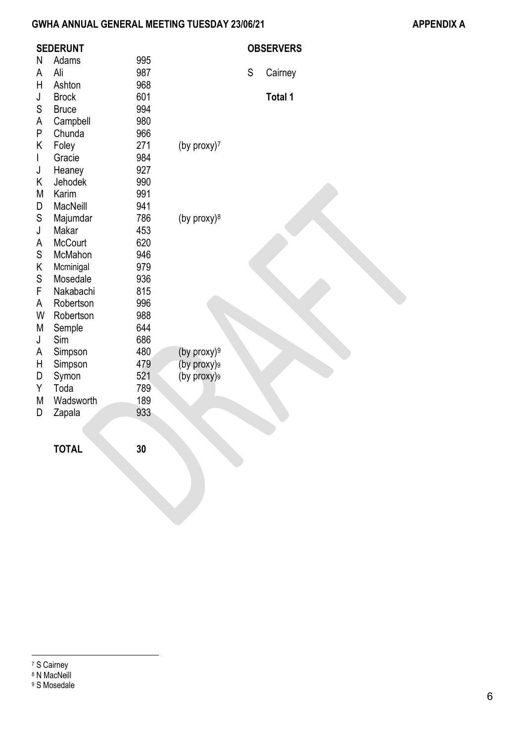# **GWHA ANNUAL GENERAL MEETING TUESDAY 23/06/21 APPENDIX A**

|              | <b>SEDERUNT</b> |     |                         |   | <b>OBSERVERS</b> |
|--------------|-----------------|-----|-------------------------|---|------------------|
| N            | Adams           | 995 |                         |   |                  |
| A            | Ali             | 987 |                         | S | Cairney          |
| H            | Ashton          | 968 |                         |   |                  |
| J            | <b>Brock</b>    | 601 |                         |   | Total 1          |
| S            | <b>Bruce</b>    | 994 |                         |   |                  |
| А            | Campbell        | 980 |                         |   |                  |
| P            | Chunda          | 966 |                         |   |                  |
| Κ            | Foley           | 271 | (by proxy) <sup>7</sup> |   |                  |
| $\mathsf{I}$ | Gracie          | 984 |                         |   |                  |
| J            | Heaney          | 927 |                         |   |                  |
| Κ            | Jehodek         | 990 |                         |   |                  |
| M            | Karim           | 991 |                         |   |                  |
| D            | <b>MacNeill</b> | 941 |                         |   |                  |
| S            | Majumdar        | 786 | (by proxy) $8$          |   |                  |
| J            | Makar           | 453 |                         |   |                  |
| A            | <b>McCourt</b>  | 620 |                         |   |                  |
| S            | McMahon         | 946 |                         |   |                  |
| Κ            | Mcminigal       | 979 |                         |   |                  |
| S            | Mosedale        | 936 |                         |   |                  |
| F            | Nakabachi       | 815 |                         |   |                  |
| A            | Robertson       | 996 |                         |   |                  |
| W            | Robertson       | 988 |                         |   |                  |
| M            | Semple          | 644 |                         |   |                  |
| J            | Sim             | 686 |                         |   |                  |
| A            | Simpson         | 480 | (by proxy) $9$          |   |                  |
| H            | Simpson         | 479 | (by proxy)9             |   |                  |
| D            | Symon           | 521 | (by proxy)9             |   |                  |
| Υ            | Toda            | 789 |                         |   |                  |
| M            | Wadsworth       | 189 |                         |   |                  |
| D            | Zapala          | 933 |                         |   |                  |
|              |                 |     |                         |   |                  |
|              | <b>TOTAL</b>    | 30  |                         |   |                  |
|              |                 |     |                         |   |                  |

<span id="page-5-2"></span><span id="page-5-1"></span><span id="page-5-0"></span><sup>9</sup> S Mosedale